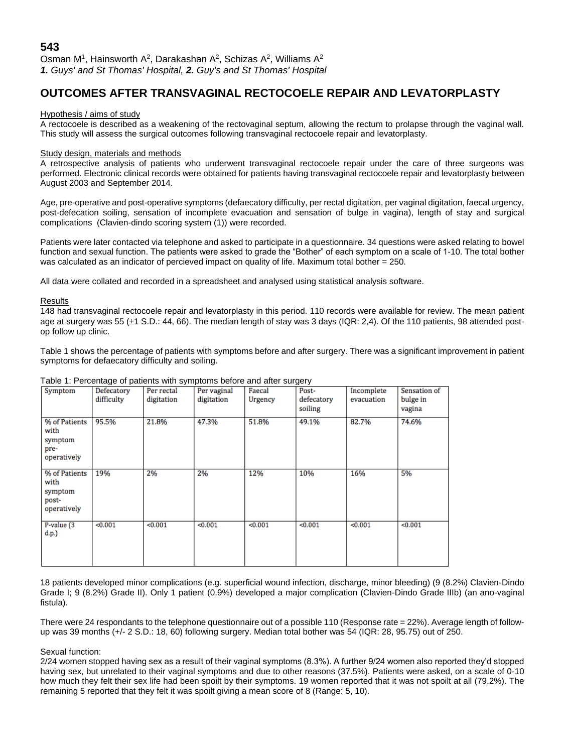# **OUTCOMES AFTER TRANSVAGINAL RECTOCOELE REPAIR AND LEVATORPLASTY**

## Hypothesis / aims of study

A rectocoele is described as a weakening of the rectovaginal septum, allowing the rectum to prolapse through the vaginal wall. This study will assess the surgical outcomes following transvaginal rectocoele repair and levatorplasty.

# Study design, materials and methods

A retrospective analysis of patients who underwent transvaginal rectocoele repair under the care of three surgeons was performed. Electronic clinical records were obtained for patients having transvaginal rectocoele repair and levatorplasty between August 2003 and September 2014.

Age, pre-operative and post-operative symptoms (defaecatory difficulty, per rectal digitation, per vaginal digitation, faecal urgency, post-defecation soiling, sensation of incomplete evacuation and sensation of bulge in vagina), length of stay and surgical complications (Clavien-dindo scoring system (1)) were recorded.

Patients were later contacted via telephone and asked to participate in a questionnaire. 34 questions were asked relating to bowel function and sexual function. The patients were asked to grade the "Bother" of each symptom on a scale of 1-10. The total bother was calculated as an indicator of percieved impact on quality of life. Maximum total bother = 250.

All data were collated and recorded in a spreadsheet and analysed using statistical analysis software.

#### Results

148 had transvaginal rectocoele repair and levatorplasty in this period. 110 records were available for review. The mean patient age at surgery was 55 ( $\pm$ 1 S.D.: 44, 66). The median length of stay was 3 days (IQR: 2.4). Of the 110 patients, 98 attended postop follow up clinic.

Table 1 shows the percentage of patients with symptoms before and after surgery. There was a significant improvement in patient symptoms for defaecatory difficulty and soiling.

| rable 1. Fercentage or patients with symptoms before and after surgery |            |            |             |         |            |            |              |
|------------------------------------------------------------------------|------------|------------|-------------|---------|------------|------------|--------------|
| Symptom                                                                | Defecatory | Per rectal | Per vaginal | Faecal  | Post-      | Incomplete | Sensation of |
|                                                                        | difficulty | digitation | digitation  | Urgency | defecatory | evacuation | bulge in     |
|                                                                        |            |            |             |         | soiling    |            | vagina       |
|                                                                        |            |            |             |         |            |            |              |
| % of Patients<br>with<br>symptom                                       | 95.5%      | 21.8%      | 47.3%       | 51.8%   | 49.1%      | 82.7%      | 74.6%        |
| pre-<br>operatively                                                    |            |            |             |         |            |            |              |
|                                                                        |            |            |             |         |            |            |              |
| % of Patients<br>with<br>symptom<br>post-<br>operatively               | 19%        | 2%         | 2%          | 12%     | 10%        | 16%        | 5%           |
| P-value (3<br>d.p.                                                     | < 0.001    | < 0.001    | < 0.001     | < 0.001 | < 0.001    | < 0.001    | < 0.001      |

# Table 1: Percentage of patients with symptoms before and after surgery

18 patients developed minor complications (e.g. superficial wound infection, discharge, minor bleeding) (9 (8.2%) Clavien-Dindo Grade I; 9 (8.2%) Grade II). Only 1 patient (0.9%) developed a major complication (Clavien-Dindo Grade IIIb) (an ano-vaginal fistula).

There were 24 respondants to the telephone questionnaire out of a possible 110 (Response rate = 22%). Average length of followup was 39 months (+/- 2 S.D.: 18, 60) following surgery. Median total bother was 54 (IQR: 28, 95.75) out of 250.

# Sexual function:

2/24 women stopped having sex as a result of their vaginal symptoms (8.3%). A further 9/24 women also reported they'd stopped having sex, but unrelated to their vaginal symptoms and due to other reasons (37.5%). Patients were asked, on a scale of 0-10 how much they felt their sex life had been spoilt by their symptoms. 19 women reported that it was not spoilt at all (79.2%). The remaining 5 reported that they felt it was spoilt giving a mean score of 8 (Range: 5, 10).